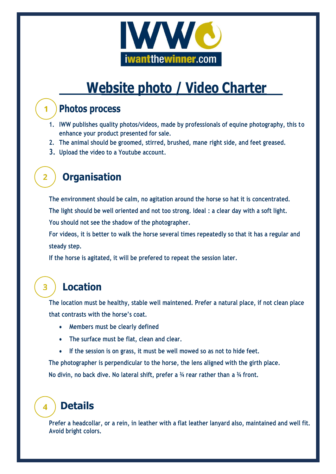

# **Website photo / Video Charter**

## **Photos process**

 $\mathbf 1$ 

 $\overline{2}$ 

 $\overline{\mathbf{3}}$ 

 $\blacktriangle$ 

- **1. IWW publishes quality photos/videos, made by professionals of equine photography, this to enhance your product presented for sale.**
- **2. The animal should be groomed, stirred, brushed, mane right side, and feet greased.**
- **3. Upload the video to a Youtube account.**

# **Organisation**

**The environment should be calm, no agitation around the horse so hat it is concentrated. The light should be well oriented and not too strong. Ideal : a clear day with a soft light. You should not see the shadow of the photographer.** 

**For videos, it is better to walk the horse several times repeatedly so that it has a regular and steady step.**

**If the horse is agitated, it will be prefered to repeat the session later.**

# **Location**

**The location must be healthy, stable well maintened. Prefer a natural place, if not clean place that contrasts with the horse's coat.** 

- **Members must be clearly defined**
- **The surface must be flat, clean and clear.**
- **If the session is on grass, it must be well mowed so as not to hide feet.**

**The photographer is perpendicular to the horse, the lens aligned with the girth place. No divin, no back dive. No lateral shift, prefer a ¾ rear rather than a ¾ front.**

# **Details**

**Prefer a headcollar, or a rein, in leather with a flat leather lanyard also, maintained and well fit. Avoid bright colors.**